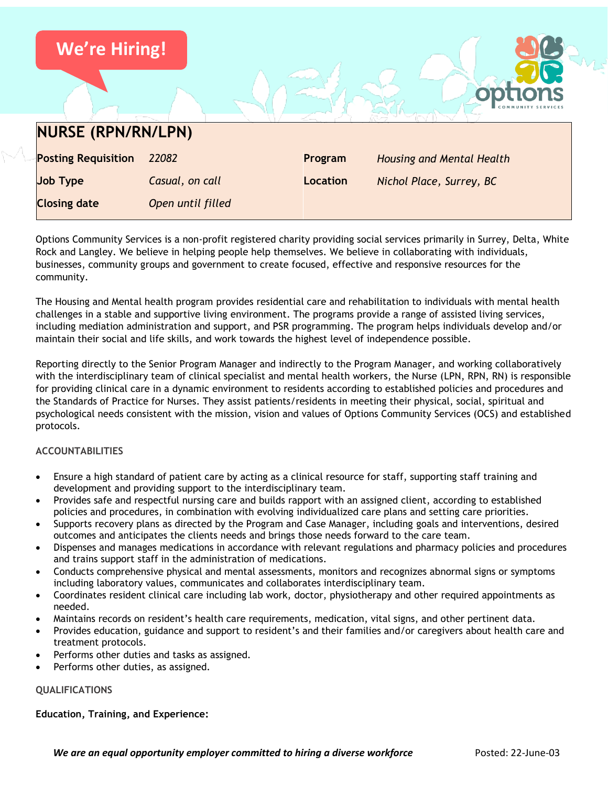

Options Community Services is a non-profit registered charity providing social services primarily in Surrey, Delta, White Rock and Langley. We believe in helping people help themselves. We believe in collaborating with individuals, businesses, community groups and government to create focused, effective and responsive resources for the community.

The Housing and Mental health program provides residential care and rehabilitation to individuals with mental health challenges in a stable and supportive living environment. The programs provide a range of assisted living services, including mediation administration and support, and PSR programming. The program helps individuals develop and/or maintain their social and life skills, and work towards the highest level of independence possible.

Reporting directly to the Senior Program Manager and indirectly to the Program Manager, and working collaboratively with the interdisciplinary team of clinical specialist and mental health workers, the Nurse (LPN, RPN, RN) is responsible for providing clinical care in a dynamic environment to residents according to established policies and procedures and the Standards of Practice for Nurses. They assist patients/residents in meeting their physical, social, spiritual and psychological needs consistent with the mission, vision and values of Options Community Services (OCS) and established protocols.

# **ACCOUNTABILITIES**

- Ensure a high standard of patient care by acting as a clinical resource for staff, supporting staff training and development and providing support to the interdisciplinary team.
- Provides safe and respectful nursing care and builds rapport with an assigned client, according to established policies and procedures, in combination with evolving individualized care plans and setting care priorities.
- Supports recovery plans as directed by the Program and Case Manager, including goals and interventions, desired outcomes and anticipates the clients needs and brings those needs forward to the care team.
- Dispenses and manages medications in accordance with relevant regulations and pharmacy policies and procedures and trains support staff in the administration of medications.
- Conducts comprehensive physical and mental assessments, monitors and recognizes abnormal signs or symptoms including laboratory values, communicates and collaborates interdisciplinary team.
- Coordinates resident clinical care including lab work, doctor, physiotherapy and other required appointments as needed.
- Maintains records on resident's health care requirements, medication, vital signs, and other pertinent data.
- Provides education, guidance and support to resident's and their families and/or caregivers about health care and treatment protocols.
- Performs other duties and tasks as assigned.
- Performs other duties, as assigned.

### **QUALIFICATIONS**

# **Education, Training, and Experience:**